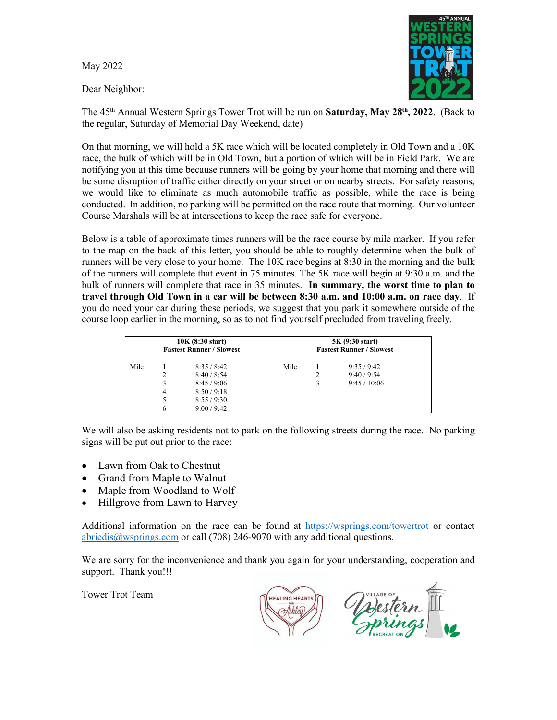May 2022

Dear Neighbor:



The 45th Annual Western Springs Tower Trot will be run on **Saturday, May 28th, 2022**. (Back to the regular, Saturday of Memorial Day Weekend, date)

On that morning, we will hold a 5K race which will be located completely in Old Town and a 10K race, the bulk of which will be in Old Town, but a portion of which will be in Field Park. We are notifying you at this time because runners will be going by your home that morning and there will be some disruption of traffic either directly on your street or on nearby streets. For safety reasons, we would like to eliminate as much automobile traffic as possible, while the race is being conducted. In addition, no parking will be permitted on the race route that morning. Our volunteer Course Marshals will be at intersections to keep the race safe for everyone.

Below is a table of approximate times runners will be the race course by mile marker. If you refer to the map on the back of this letter, you should be able to roughly determine when the bulk of runners will be very close to your home. The 10K race begins at 8:30 in the morning and the bulk of the runners will complete that event in 75 minutes. The 5K race will begin at 9:30 a.m. and the bulk of runners will complete that race in 35 minutes. **In summary, the worst time to plan to travel through Old Town in a car will be between 8:30 a.m. and 10:00 a.m. on race day**. If you do need your car during these periods, we suggest that you park it somewhere outside of the course loop earlier in the morning, so as to not find yourself precluded from traveling freely.

| 10K (8:30 start)                |             |                                                                            | 5K (9:30 start)                 |  |                                      |
|---------------------------------|-------------|----------------------------------------------------------------------------|---------------------------------|--|--------------------------------------|
| <b>Fastest Runner / Slowest</b> |             |                                                                            | <b>Fastest Runner / Slowest</b> |  |                                      |
| Mile                            | 3<br>4<br>6 | 8:35/8:42<br>8:40/8:54<br>8:45/9:06<br>8:50/9:18<br>8:55/9:30<br>9:00/9:42 | Mile                            |  | 9:35/9:42<br>9:40/9:54<br>9:45/10:06 |

We will also be asking residents not to park on the following streets during the race. No parking signs will be put out prior to the race:

- Lawn from Oak to Chestnut
- Grand from Maple to Walnut
- Maple from Woodland to Wolf
- Hillgrove from Lawn to Harvey

Additional information on the race can be found at <https://wsprings.com/towertrot> or contact [abriedis@wsprings.com](mailto:abriedis@wsprings.com) or call (708) 246-9070 with any additional questions.

We are sorry for the inconvenience and thank you again for your understanding, cooperation and support. Thank you!!!

Tower Trot Team

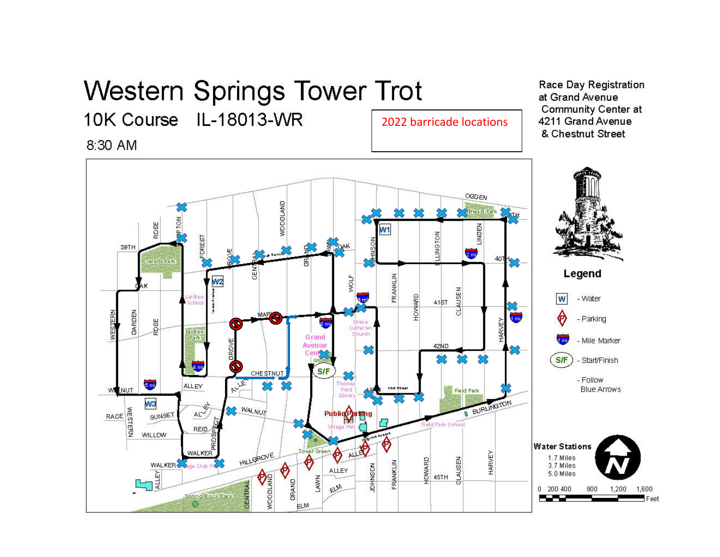## **Western Springs Tower Trot**

10K Course IL-18013-WR

8:30 AM

2022 barricade locations

Race Day Registration at Grand Avenue **Community Center at** 4211 Grand Avenue & Chestnut Street